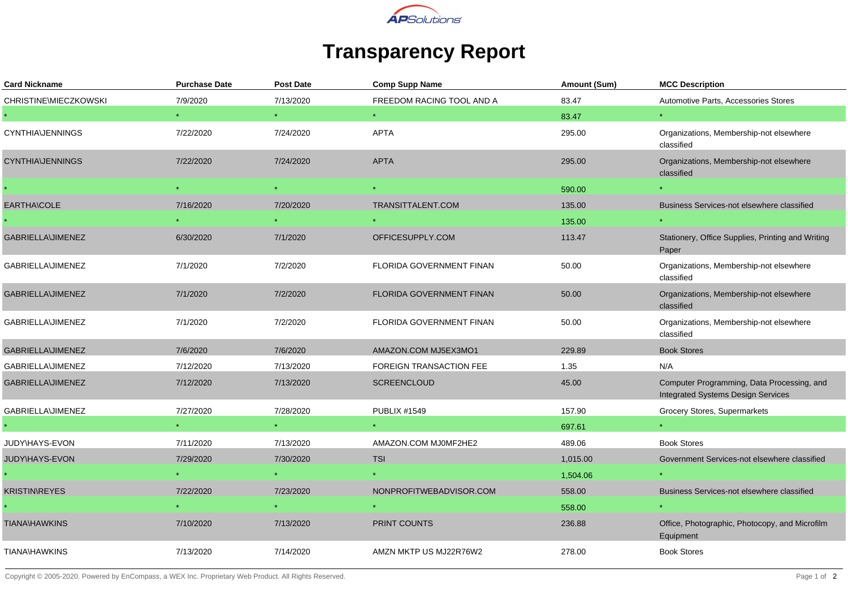

## **Transparency Report**

| <b>Card Nickname</b>     | <b>Purchase Date</b> | <b>Post Date</b> | <b>Comp Supp Name</b>           | Amount (Sum) | <b>MCC Description</b>                                                                  |
|--------------------------|----------------------|------------------|---------------------------------|--------------|-----------------------------------------------------------------------------------------|
| CHRISTINE\MIECZKOWSKI    | 7/9/2020             | 7/13/2020        | FREEDOM RACING TOOL AND A       | 83.47        | Automotive Parts, Accessories Stores                                                    |
|                          |                      |                  |                                 | 83.47        | $\star$                                                                                 |
| <b>CYNTHIA\JENNINGS</b>  | 7/22/2020            | 7/24/2020        | <b>APTA</b>                     | 295.00       | Organizations, Membership-not elsewhere<br>classified                                   |
| <b>CYNTHIA\JENNINGS</b>  | 7/22/2020            | 7/24/2020        | <b>APTA</b>                     | 295.00       | Organizations, Membership-not elsewhere<br>classified                                   |
|                          |                      |                  |                                 | 590.00       |                                                                                         |
| EARTHA\COLE              | 7/16/2020            | 7/20/2020        | TRANSITTALENT.COM               | 135.00       | Business Services-not elsewhere classified                                              |
|                          |                      |                  |                                 | 135.00       |                                                                                         |
| <b>GABRIELLA\JIMENEZ</b> | 6/30/2020            | 7/1/2020         | OFFICESUPPLY.COM                | 113.47       | Stationery, Office Supplies, Printing and Writing<br>Paper                              |
| GABRIELLA\JIMENEZ        | 7/1/2020             | 7/2/2020         | FLORIDA GOVERNMENT FINAN        | 50.00        | Organizations, Membership-not elsewhere<br>classified                                   |
| <b>GABRIELLA\JIMENEZ</b> | 7/1/2020             | 7/2/2020         | <b>FLORIDA GOVERNMENT FINAN</b> | 50.00        | Organizations, Membership-not elsewhere<br>classified                                   |
| <b>GABRIELLA\JIMENEZ</b> | 7/1/2020             | 7/2/2020         | FLORIDA GOVERNMENT FINAN        | 50.00        | Organizations, Membership-not elsewhere<br>classified                                   |
| <b>GABRIELLA\JIMENEZ</b> | 7/6/2020             | 7/6/2020         | AMAZON.COM MJ5EX3MO1            | 229.89       | <b>Book Stores</b>                                                                      |
| <b>GABRIELLA\JIMENEZ</b> | 7/12/2020            | 7/13/2020        | <b>FOREIGN TRANSACTION FEE</b>  | 1.35         | N/A                                                                                     |
| <b>GABRIELLA\JIMENEZ</b> | 7/12/2020            | 7/13/2020        | <b>SCREENCLOUD</b>              | 45.00        | Computer Programming, Data Processing, and<br><b>Integrated Systems Design Services</b> |
| GABRIELLA\JIMENEZ        | 7/27/2020            | 7/28/2020        | <b>PUBLIX #1549</b>             | 157.90       | Grocery Stores, Supermarkets                                                            |
|                          |                      |                  |                                 | 697.61       |                                                                                         |
| JUDY\HAYS-EVON           | 7/11/2020            | 7/13/2020        | AMAZON.COM MJ0MF2HE2            | 489.06       | <b>Book Stores</b>                                                                      |
| JUDY\HAYS-EVON           | 7/29/2020            | 7/30/2020        | <b>TSI</b>                      | 1,015.00     | Government Services-not elsewhere classified                                            |
|                          |                      |                  |                                 | 1,504.06     |                                                                                         |
| <b>KRISTIN\REYES</b>     | 7/22/2020            | 7/23/2020        | NONPROFITWEBADVISOR.COM         | 558.00       | Business Services-not elsewhere classified                                              |
|                          |                      |                  |                                 | 558.00       |                                                                                         |
| <b>TIANA\HAWKINS</b>     | 7/10/2020            | 7/13/2020        | <b>PRINT COUNTS</b>             | 236.88       | Office, Photographic, Photocopy, and Microfilm<br>Equipment                             |
| <b>TIANA\HAWKINS</b>     | 7/13/2020            | 7/14/2020        | AMZN MKTP US MJ22R76W2          | 278.00       | <b>Book Stores</b>                                                                      |

Copyright © 2005-2020. Powered by EnCompass, a WEX Inc. Proprietary Web Product. All Rights Reserved.